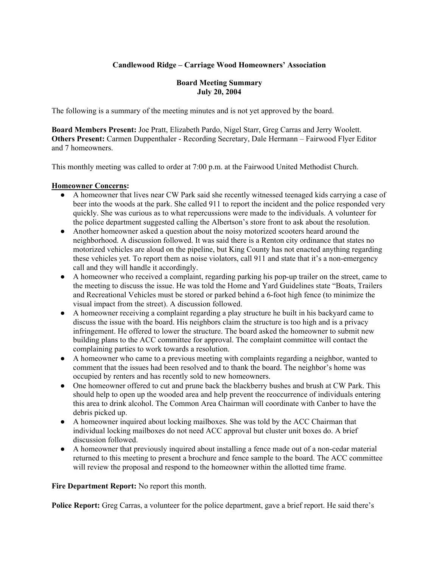# **Candlewood Ridge – Carriage Wood Homeowners' Association**

## **Board Meeting Summary July 20, 2004**

The following is a summary of the meeting minutes and is not yet approved by the board.

**Board Members Present:** Joe Pratt, Elizabeth Pardo, Nigel Starr, Greg Carras and Jerry Woolett. **Others Present:** Carmen Duppenthaler - Recording Secretary, Dale Hermann – Fairwood Flyer Editor and 7 homeowners.

This monthly meeting was called to order at 7:00 p.m. at the Fairwood United Methodist Church.

# **Homeowner Concerns:**

- A homeowner that lives near CW Park said she recently witnessed teenaged kids carrying a case of beer into the woods at the park. She called 911 to report the incident and the police responded very quickly. She was curious as to what repercussions were made to the individuals. A volunteer for the police department suggested calling the Albertson's store front to ask about the resolution.
- Another homeowner asked a question about the noisy motorized scooters heard around the neighborhood. A discussion followed. It was said there is a Renton city ordinance that states no motorized vehicles are aloud on the pipeline, but King County has not enacted anything regarding these vehicles yet. To report them as noise violators, call 911 and state that it's a non-emergency call and they will handle it accordingly.
- A homeowner who received a complaint, regarding parking his pop-up trailer on the street, came to the meeting to discuss the issue. He was told the Home and Yard Guidelines state "Boats, Trailers and Recreational Vehicles must be stored or parked behind a 6-foot high fence (to minimize the visual impact from the street). A discussion followed.
- A homeowner receiving a complaint regarding a play structure he built in his backyard came to discuss the issue with the board. His neighbors claim the structure is too high and is a privacy infringement. He offered to lower the structure. The board asked the homeowner to submit new building plans to the ACC committee for approval. The complaint committee will contact the complaining parties to work towards a resolution.
- A homeowner who came to a previous meeting with complaints regarding a neighbor, wanted to comment that the issues had been resolved and to thank the board. The neighbor's home was occupied by renters and has recently sold to new homeowners.
- One homeowner offered to cut and prune back the blackberry bushes and brush at CW Park. This should help to open up the wooded area and help prevent the reoccurrence of individuals entering this area to drink alcohol. The Common Area Chairman will coordinate with Canber to have the debris picked up.
- A homeowner inquired about locking mailboxes. She was told by the ACC Chairman that individual locking mailboxes do not need ACC approval but cluster unit boxes do. A brief discussion followed.
- A homeowner that previously inquired about installing a fence made out of a non-cedar material returned to this meeting to present a brochure and fence sample to the board. The ACC committee will review the proposal and respond to the homeowner within the allotted time frame.

**Fire Department Report:** No report this month.

**Police Report:** Greg Carras, a volunteer for the police department, gave a brief report. He said there's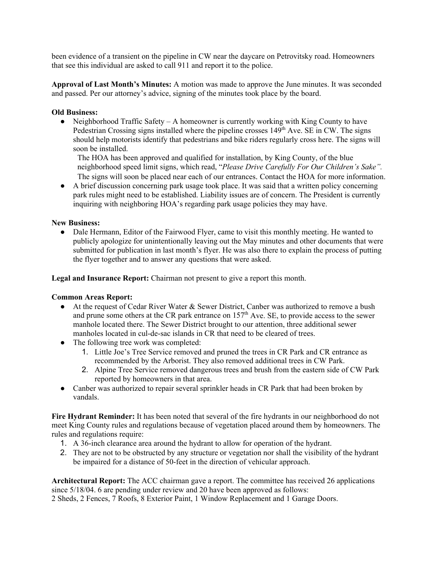been evidence of a transient on the pipeline in CW near the daycare on Petrovitsky road. Homeowners that see this individual are asked to call 911 and report it to the police.

**Approval of Last Month's Minutes:** A motion was made to approve the June minutes. It was seconded and passed. Per our attorney's advice, signing of the minutes took place by the board.

## **Old Business:**

• Neighborhood Traffic Safety – A homeowner is currently working with King County to have Pedestrian Crossing signs installed where the pipeline crosses  $149<sup>th</sup>$  Ave. SE in CW. The signs should help motorists identify that pedestrians and bike riders regularly cross here. The signs will soon be installed.

The HOA has been approved and qualified for installation, by King County, of the blue neighborhood speed limit signs, which read, "*Please Drive Carefully For Our Children's Sake".*  The signs will soon be placed near each of our entrances. Contact the HOA for more information.

● A brief discussion concerning park usage took place. It was said that a written policy concerning park rules might need to be established. Liability issues are of concern. The President is currently inquiring with neighboring HOA's regarding park usage policies they may have.

# **New Business:**

• Dale Hermann, Editor of the Fairwood Flyer, came to visit this monthly meeting. He wanted to publicly apologize for unintentionally leaving out the May minutes and other documents that were submitted for publication in last month's flyer. He was also there to explain the process of putting the flyer together and to answer any questions that were asked.

**Legal and Insurance Report:** Chairman not present to give a report this month.

### **Common Areas Report:**

- At the request of Cedar River Water & Sewer District, Canber was authorized to remove a bush and prune some others at the CR park entrance on  $157<sup>th</sup>$  Ave. SE, to provide access to the sewer manhole located there. The Sewer District brought to our attention, three additional sewer manholes located in cul-de-sac islands in CR that need to be cleared of trees.
- The following tree work was completed:
	- 1. Little Joe's Tree Service removed and pruned the trees in CR Park and CR entrance as recommended by the Arborist. They also removed additional trees in CW Park.
	- 2. Alpine Tree Service removed dangerous trees and brush from the eastern side of CW Park reported by homeowners in that area.
- Canber was authorized to repair several sprinkler heads in CR Park that had been broken by vandals.

**Fire Hydrant Reminder:** It has been noted that several of the fire hydrants in our neighborhood do not meet King County rules and regulations because of vegetation placed around them by homeowners. The rules and regulations require:

- 1. A 36-inch clearance area around the hydrant to allow for operation of the hydrant.
- 2. They are not to be obstructed by any structure or vegetation nor shall the visibility of the hydrant be impaired for a distance of 50-feet in the direction of vehicular approach.

**Architectural Report:** The ACC chairman gave a report. The committee has received 26 applications since 5/18/04. 6 are pending under review and 20 have been approved as follows: 2 Sheds, 2 Fences, 7 Roofs, 8 Exterior Paint, 1 Window Replacement and 1 Garage Doors.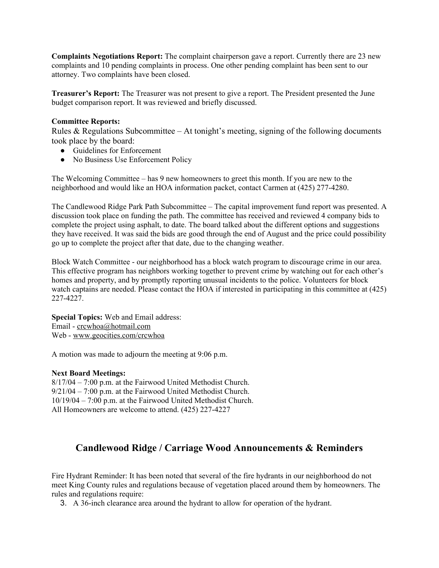**Complaints Negotiations Report:** The complaint chairperson gave a report. Currently there are 23 new complaints and 10 pending complaints in process. One other pending complaint has been sent to our attorney. Two complaints have been closed.

**Treasurer's Report:** The Treasurer was not present to give a report. The President presented the June budget comparison report. It was reviewed and briefly discussed.

#### **Committee Reports:**

Rules & Regulations Subcommittee – At tonight's meeting, signing of the following documents took place by the board:

- Guidelines for Enforcement
- No Business Use Enforcement Policy

The Welcoming Committee – has 9 new homeowners to greet this month. If you are new to the neighborhood and would like an HOA information packet, contact Carmen at (425) 277-4280.

The Candlewood Ridge Park Path Subcommittee – The capital improvement fund report was presented. A discussion took place on funding the path. The committee has received and reviewed 4 company bids to complete the project using asphalt, to date. The board talked about the different options and suggestions they have received. It was said the bids are good through the end of August and the price could possibility go up to complete the project after that date, due to the changing weather.

Block Watch Committee - our neighborhood has a block watch program to discourage crime in our area. This effective program has neighbors working together to prevent crime by watching out for each other's homes and property, and by promptly reporting unusual incidents to the police. Volunteers for block watch captains are needed. Please contact the HOA if interested in participating in this committee at (425) 227-4227.

**Special Topics:** Web and Email address: Email - crcwhoa@hotmail.com Web - www.geocities.com/crcwhoa

A motion was made to adjourn the meeting at 9:06 p.m.

### **Next Board Meetings:**

8/17/04 – 7:00 p.m. at the Fairwood United Methodist Church. 9/21/04 – 7:00 p.m. at the Fairwood United Methodist Church. 10/19/04 – 7:00 p.m. at the Fairwood United Methodist Church. All Homeowners are welcome to attend. (425) 227-4227

# **Candlewood Ridge / Carriage Wood Announcements & Reminders**

Fire Hydrant Reminder: It has been noted that several of the fire hydrants in our neighborhood do not meet King County rules and regulations because of vegetation placed around them by homeowners. The rules and regulations require:

3. A 36-inch clearance area around the hydrant to allow for operation of the hydrant.